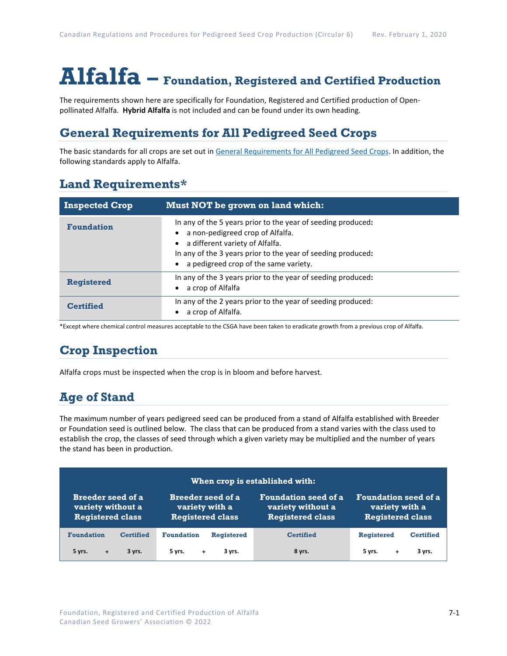# **Alfalfa – Foundation, Registered and Certified Production**

The requirements shown here are specifically for Foundation, Registered and Certified production of Openpollinated Alfalfa. **Hybrid Alfalfa** is not included and can be found under its own heading.

# **General Requirements for All Pedigreed Seed Crops**

The basic standards for all crops are set out i[n General Requirements for All Pedigreed Seed](https://seedgrowers.ca/wp-content/uploads/2020/01/GENERAL-REQUIREMENTS-ALL-CROPS_EN.pdf) Crops. In addition, the following standards apply to Alfalfa.

## **Land Requirements\***

| <b>Inspected Crop</b> | Must NOT be grown on land which:                                                                                                                                                                                                                          |
|-----------------------|-----------------------------------------------------------------------------------------------------------------------------------------------------------------------------------------------------------------------------------------------------------|
| <b>Foundation</b>     | In any of the 5 years prior to the year of seeding produced:<br>a non-pedigreed crop of Alfalfa.<br>a different variety of Alfalfa.<br>$\bullet$<br>In any of the 3 years prior to the year of seeding produced:<br>a pedigreed crop of the same variety. |
| <b>Registered</b>     | In any of the 3 years prior to the year of seeding produced:<br>a crop of Alfalfa                                                                                                                                                                         |
| <b>Certified</b>      | In any of the 2 years prior to the year of seeding produced:<br>a crop of Alfalfa.                                                                                                                                                                        |

\*Except where chemical control measures acceptable to the CSGA have been taken to eradicate growth from a previous crop of Alfalfa.

# **Crop Inspection**

Alfalfa crops must be inspected when the crop is in bloom and before harvest.

# **Age of Stand**

The maximum number of years pedigreed seed can be produced from a stand of Alfalfa established with Breeder or Foundation seed is outlined below. The class that can be produced from a stand varies with the class used to establish the crop, the classes of seed through which a given variety may be multiplied and the number of years the stand has been in production.

| When crop is established with: |                          |                             |                         |  |  |  |
|--------------------------------|--------------------------|-----------------------------|-------------------------|--|--|--|
| <b>Breeder seed of a</b>       | <b>Breeder seed of a</b> | <b>Foundation seed of a</b> | Foundation seed of a    |  |  |  |
| variety without a              | variety with a           | variety without a           | variety with a          |  |  |  |
| <b>Registered class</b>        | <b>Registered class</b>  | <b>Registered class</b>     | <b>Registered class</b> |  |  |  |
| <b>Foundation</b>              | <b>Foundation</b>        | <b>Certified</b>            | <b>Registered</b>       |  |  |  |
| <b>Certified</b>               | <b>Registered</b>        |                             | <b>Certified</b>        |  |  |  |
| 5 yrs.                         | 3 yrs.                   | 8 yrs.                      | 5 yrs.                  |  |  |  |
| 3 yrs.                         | 5 yrs.                   |                             | 3 yrs.                  |  |  |  |
| $+$                            | $+$                      |                             | +                       |  |  |  |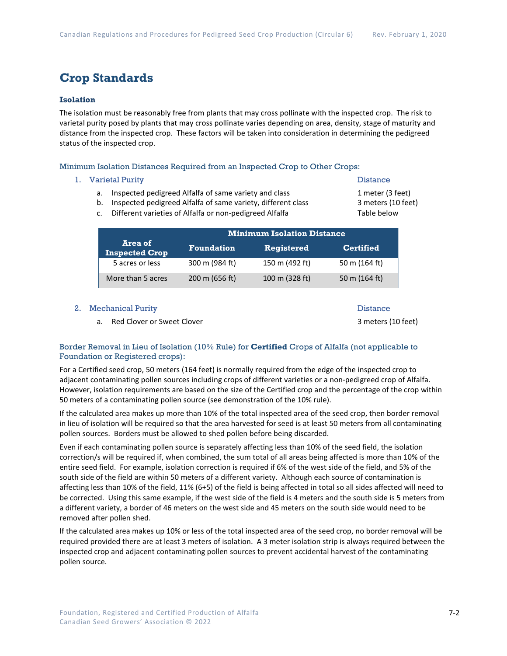## **Crop Standards**

## **Isolation**

The isolation must be reasonably free from plants that may cross pollinate with the inspected crop. The risk to varietal purity posed by plants that may cross pollinate varies depending on area, density, stage of maturity and distance from the inspected crop. These factors will be taken into consideration in determining the pedigreed status of the inspected crop.

#### Minimum Isolation Distances Required from an Inspected Crop to Other Crops:

#### 1. Varietal Purity **Distance**

- a. Inspected pedigreed Alfalfa of same variety and class 1 meter (3 feet)
- b. Inspected pedigreed Alfalfa of same variety, different class 3 meters (10 feet)
- c. Different varieties of Alfalfa or non-pedigreed Alfalfa Table below

|                                  | <b>Minimum Isolation Distance</b> |                   |                  |  |
|----------------------------------|-----------------------------------|-------------------|------------------|--|
| Area of<br><b>Inspected Crop</b> | <b>Foundation</b>                 | <b>Registered</b> | <b>Certified</b> |  |
| 5 acres or less                  | 300 m (984 ft)                    | 150 m (492 ft)    | 50 m (164 ft)    |  |
| More than 5 acres                | 200 m (656 ft)                    | 100 m (328 ft)    | 50 m (164 ft)    |  |

#### 2. Mechanical Purity **Distance 2. September 2. All 2.** Distance

a. Red Clover or Sweet Clover 3 meters (10 feet)

## Border Removal in Lieu of Isolation (10% Rule) for **Certified** Crops of Alfalfa (not applicable to Foundation or Registered crops):

For a Certified seed crop, 50 meters (164 feet) is normally required from the edge of the inspected crop to adjacent contaminating pollen sources including crops of different varieties or a non-pedigreed crop of Alfalfa. However, isolation requirements are based on the size of the Certified crop and the percentage of the crop within 50 meters of a contaminating pollen source (see demonstration of the 10% rule).

If the calculated area makes up more than 10% of the total inspected area of the seed crop, then border removal in lieu of isolation will be required so that the area harvested for seed is at least 50 meters from all contaminating pollen sources. Borders must be allowed to shed pollen before being discarded.

Even if each contaminating pollen source is separately affecting less than 10% of the seed field, the isolation correction/s will be required if, when combined, the sum total of all areas being affected is more than 10% of the entire seed field. For example, isolation correction is required if 6% of the west side of the field, and 5% of the south side of the field are within 50 meters of a different variety. Although each source of contamination is affecting less than 10% of the field, 11% (6+5) of the field is being affected in total so all sides affected will need to be corrected. Using this same example, if the west side of the field is 4 meters and the south side is 5 meters from a different variety, a border of 46 meters on the west side and 45 meters on the south side would need to be removed after pollen shed.

If the calculated area makes up 10% or less of the total inspected area of the seed crop, no border removal will be required provided there are at least 3 meters of isolation. A 3 meter isolation strip is always required between the inspected crop and adjacent contaminating pollen sources to prevent accidental harvest of the contaminating pollen source.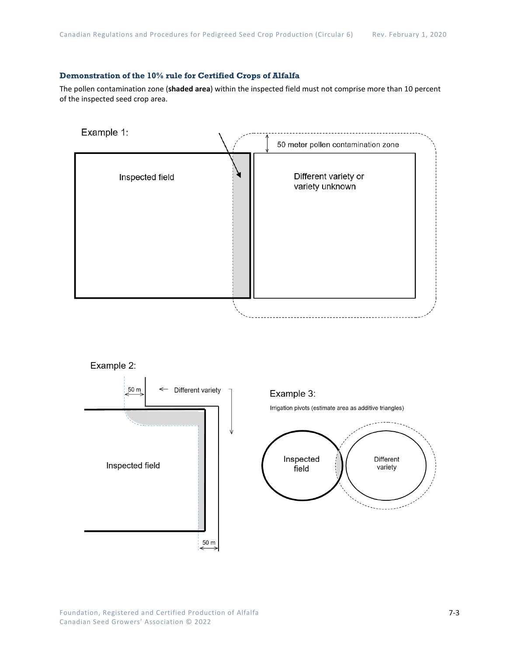## **Demonstration of the 10% rule for Certified Crops of Alfalfa**

The pollen contamination zone (**shaded area**) within the inspected field must not comprise more than 10 percent of the inspected seed crop area.